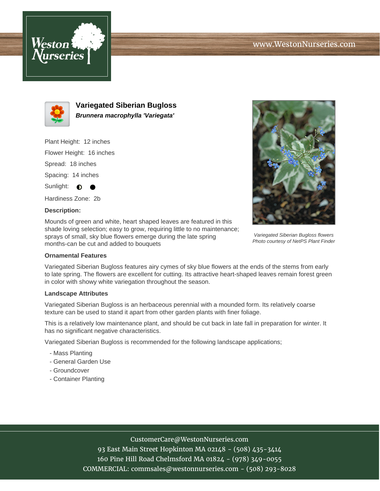



**Variegated Siberian Bugloss Brunnera macrophylla 'Variegata'**

Plant Height: 12 inches

Flower Height: 16 inches

Spread: 18 inches

Spacing: 14 inches

Sunlight:  $\bigcirc$ 

Hardiness Zone: 2b

## **Description:**

Mounds of green and white, heart shaped leaves are featured in this shade loving selection; easy to grow, requiring little to no maintenance; sprays of small, sky blue flowers emerge during the late spring months-can be cut and added to bouquets

## **Ornamental Features**

Variegated Siberian Bugloss features airy cymes of sky blue flowers at the ends of the stems from early to late spring. The flowers are excellent for cutting. Its attractive heart-shaped leaves remain forest green in color with showy white variegation throughout the season.

## **Landscape Attributes**

Variegated Siberian Bugloss is an herbaceous perennial with a mounded form. Its relatively coarse texture can be used to stand it apart from other garden plants with finer foliage.

This is a relatively low maintenance plant, and should be cut back in late fall in preparation for winter. It has no significant negative characteristics.

Variegated Siberian Bugloss is recommended for the following landscape applications;

- Mass Planting
- General Garden Use
- Groundcover
- Container Planting



Variegated Siberian Bugloss flowers Photo courtesy of NetPS Plant Finder

CustomerCare@WestonNurseries.com

93 East Main Street Hopkinton MA 02148 - (508) 435-3414 160 Pine Hill Road Chelmsford MA 01824 - (978) 349-0055 COMMERCIAL: commsales@westonnurseries.com - (508) 293-8028